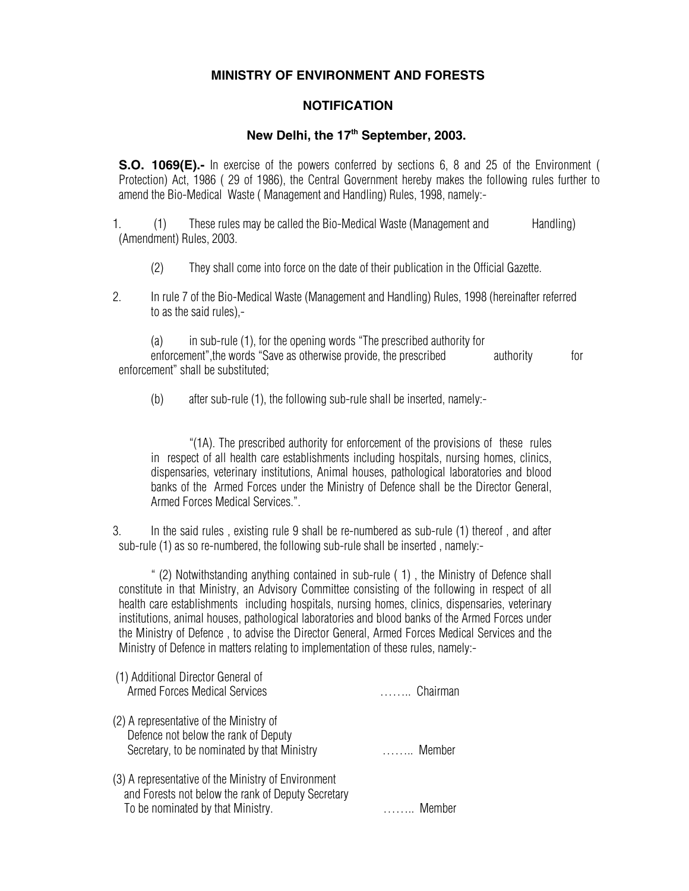## **MINISTRY OF ENVIRONMENT AND FORESTS**

## **NOTIFICATION**

## New Delhi, the 17<sup>th</sup> September, 2003.

**S.O. 1069(E).-** In exercise of the powers conferred by sections 6, 8 and 25 of the Environment ( Protection) Act, 1986 ( 29 of 1986), the Central Government hereby makes the following rules further to amend the Bio-Medical Waste ( Management and Handling) Rules, 1998, namely:-

1. (1) These rules may be called the Bio-Medical Waste (Management and Handling) (Amendment) Rules, 2003.

- (2) They shall come into force on the date of their publication in the Official Gazette.
- 2. In rule 7 of the Bio-Medical Waste (Management and Handling) Rules, 1998 (hereinafter referred to as the said rules),-
- (a) in sub-rule (1), for the opening words "The prescribed authority for enforcement", the words "Save as otherwise provide, the prescribed authority for enforcement" shall be substituted;
	- (b) after sub-rule (1), the following sub-rule shall be inserted, namely:-

"(1A). The prescribed authority for enforcement of the provisions of these rules in respect of all health care establishments including hospitals, nursing homes, clinics, dispensaries, veterinary institutions, Animal houses, pathological laboratories and blood banks of the Armed Forces under the Ministry of Defence shall be the Director General, Armed Forces Medical Services.".

3. In the said rules , existing rule 9 shall be re-numbered as sub-rule (1) thereof , and after sub-rule (1) as so re-numbered, the following sub-rule shall be inserted , namely:-

 " (2) Notwithstanding anything contained in sub-rule ( 1) , the Ministry of Defence shall constitute in that Ministry, an Advisory Committee consisting of the following in respect of all health care establishments including hospitals, nursing homes, clinics, dispensaries, veterinary institutions, animal houses, pathological laboratories and blood banks of the Armed Forces under the Ministry of Defence , to advise the Director General, Armed Forces Medical Services and the Ministry of Defence in matters relating to implementation of these rules, namely:-

| (1) Additional Director General of<br><b>Armed Forces Medical Services</b>                                                                     | $\ldots$ Chairman      |
|------------------------------------------------------------------------------------------------------------------------------------------------|------------------------|
| (2) A representative of the Ministry of<br>Defence not below the rank of Deputy<br>Secretary, to be nominated by that Ministry                 | $\ldots \ldots$ Member |
| (3) A representative of the Ministry of Environment<br>and Forests not below the rank of Deputy Secretary<br>To be nominated by that Ministry. | Member                 |